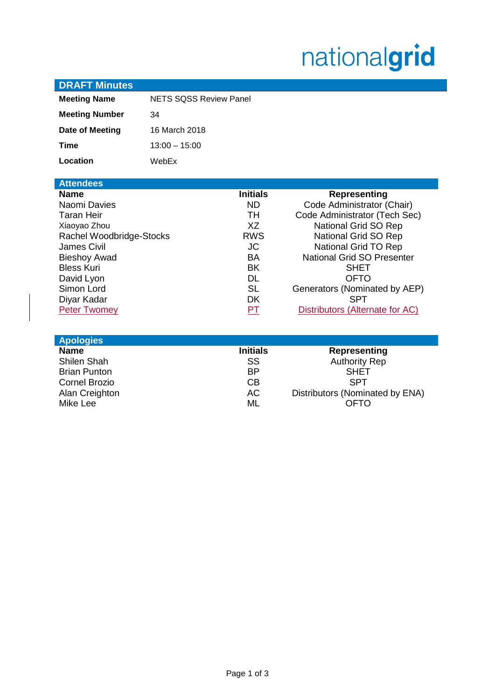# nationalgrid

| <b>DRAFT Minutes</b>                                                                                                                                                                                                      |                               |                                                                                                                                                    |                                                                                                                                                                                                                                                                                                   |
|---------------------------------------------------------------------------------------------------------------------------------------------------------------------------------------------------------------------------|-------------------------------|----------------------------------------------------------------------------------------------------------------------------------------------------|---------------------------------------------------------------------------------------------------------------------------------------------------------------------------------------------------------------------------------------------------------------------------------------------------|
| <b>Meeting Name</b>                                                                                                                                                                                                       | <b>NETS SOSS Review Panel</b> |                                                                                                                                                    |                                                                                                                                                                                                                                                                                                   |
| <b>Meeting Number</b>                                                                                                                                                                                                     | 34                            |                                                                                                                                                    |                                                                                                                                                                                                                                                                                                   |
| Date of Meeting                                                                                                                                                                                                           | 16 March 2018                 |                                                                                                                                                    |                                                                                                                                                                                                                                                                                                   |
| <b>Time</b>                                                                                                                                                                                                               | $13:00 - 15:00$               |                                                                                                                                                    |                                                                                                                                                                                                                                                                                                   |
| Location                                                                                                                                                                                                                  | WebEx                         |                                                                                                                                                    |                                                                                                                                                                                                                                                                                                   |
| <b>Attendees</b>                                                                                                                                                                                                          |                               |                                                                                                                                                    |                                                                                                                                                                                                                                                                                                   |
| <b>Name</b><br>Naomi Davies<br>Taran Heir<br>Xiaoyao Zhou<br>Rachel Woodbridge-Stocks<br><b>James Civil</b><br><b>Bieshoy Awad</b><br><b>Bless Kuri</b><br>David Lyon<br>Simon Lord<br>Diyar Kadar<br><b>Peter Twomey</b> |                               | <b>Initials</b><br><b>ND</b><br>TH.<br>XZ<br><b>RWS</b><br><b>JC</b><br><b>BA</b><br><b>BK</b><br><b>DL</b><br><b>SL</b><br><b>DK</b><br><b>PT</b> | <b>Representing</b><br>Code Administrator (Chair)<br>Code Administrator (Tech Sec)<br>National Grid SO Rep<br>National Grid SO Rep<br>National Grid TO Rep<br>National Grid SO Presenter<br><b>SHET</b><br>OFTO<br>Generators (Nominated by AEP)<br><b>SPT</b><br>Distributors (Alternate for AC) |
| <b>Apologies</b>                                                                                                                                                                                                          |                               |                                                                                                                                                    |                                                                                                                                                                                                                                                                                                   |
| <b>Name</b><br><b>Shilen Shah</b><br><b>Brian Punton</b><br><b>Cornel Brozio</b><br>Alan Creighton<br>Mike Lee                                                                                                            |                               | <b>Initials</b><br>SS<br><b>BP</b><br>C <sub>B</sub><br><b>AC</b><br>ML                                                                            | <b>Representing</b><br><b>Authority Rep</b><br><b>SHET</b><br><b>SPT</b><br>Distributors (Nominated by ENA)<br><b>OFTO</b>                                                                                                                                                                        |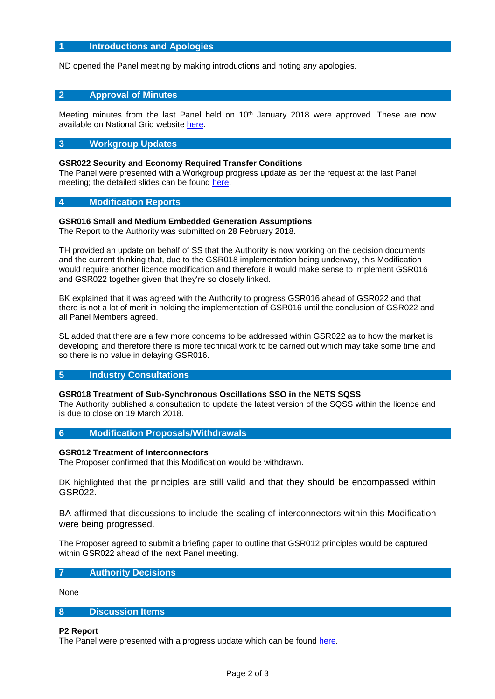# **1 Introductions and Apologies**

ND opened the Panel meeting by making introductions and noting any apologies.

## **2 Approval of Minutes**

Meeting minutes from the last Panel held on  $10<sup>th</sup>$  January 2018 were approved. These are now available on National Grid website [here.](https://www.nationalgrid.com/uk/electricity/codes/security-and-quality-supply-standards/meetings/sqss-panel-meeting-10012018)

## **3 Workgroup Updates**

#### **GSR022 Security and Economy Required Transfer Conditions**

The Panel were presented with a Workgroup progress update as per the request at the last Panel meeting; the detailed slides can be found [here.](https://www.nationalgrid.com/sites/default/files/documents/GSR022%20Workgroup%20update.pdf)

#### **4 Modification Reports**

#### **GSR016 Small and Medium Embedded Generation Assumptions**

The Report to the Authority was submitted on 28 February 2018.

TH provided an update on behalf of SS that the Authority is now working on the decision documents and the current thinking that, due to the GSR018 implementation being underway, this Modification would require another licence modification and therefore it would make sense to implement GSR016 and GSR022 together given that they're so closely linked.

BK explained that it was agreed with the Authority to progress GSR016 ahead of GSR022 and that there is not a lot of merit in holding the implementation of GSR016 until the conclusion of GSR022 and all Panel Members agreed.

SL added that there are a few more concerns to be addressed within GSR022 as to how the market is developing and therefore there is more technical work to be carried out which may take some time and so there is no value in delaying GSR016.

#### **5 Industry Consultations**

#### **GSR018 Treatment of Sub-Synchronous Oscillations SSO in the NETS SQSS**

The Authority published a consultation to update the latest version of the SQSS within the licence and is due to close on 19 March 2018.

## **6 Modification Proposals/Withdrawals**

#### **GSR012 Treatment of Interconnectors**

The Proposer confirmed that this Modification would be withdrawn.

DK highlighted that the principles are still valid and that they should be encompassed within GSR022.

BA affirmed that discussions to include the scaling of interconnectors within this Modification were being progressed.

The Proposer agreed to submit a briefing paper to outline that GSR012 principles would be captured within GSR022 ahead of the next Panel meeting.

#### **7 Authority Decisions**

None

# **8 Discussion Items**

#### **P2 Report**

The Panel were presented with a progress update which can be found [here.](https://www.nationalgrid.com/sites/default/files/documents/Review%20of%20P2%20security%20of%20supply.pdf)